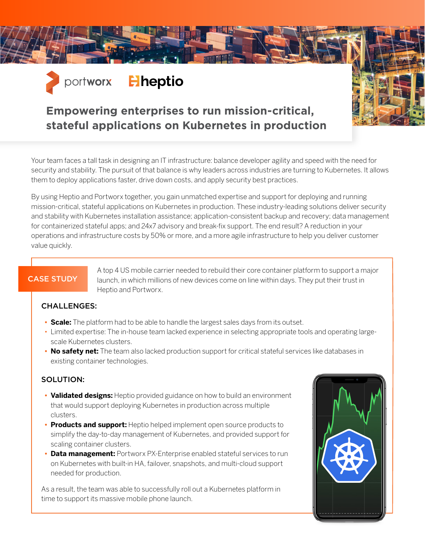

## **Empowering enterprises to run mission-critical, stateful applications on Kubernetes in production**

Your team faces a tall task in designing an IT infrastructure: balance developer agility and speed with the need for security and stability. The pursuit of that balance is why leaders across industries are turning to Kubernetes. It allows them to deploy applications faster, drive down costs, and apply security best practices.

By using Heptio and Portworx together, you gain unmatched expertise and support for deploying and running mission-critical, stateful applications on Kubernetes in production. These industry-leading solutions deliver security and stability with Kubernetes installation assistance; application-consistent backup and recovery; data management for containerized stateful apps; and 24x7 advisory and break-fix support. The end result? A reduction in your operations and infrastructure costs by 50% or more, and a more agile infrastructure to help you deliver customer value quickly.

## CASE STUDY

A top 4 US mobile carrier needed to rebuild their core container platform to support a major launch, in which millions of new devices come on line within days. They put their trust in Heptio and Portworx.

#### CHALLENGES:

- **• Scale:** The platform had to be able to handle the largest sales days from its outset.
- Limited expertise: The in-house team lacked experience in selecting appropriate tools and operating largescale Kubernetes clusters.
- **No safety net:** The team also lacked production support for critical stateful services like databases in existing container technologies.

#### SOLUTION:

- **• Validated designs:** Heptio provided guidance on how to build an environment that would support deploying Kubernetes in production across multiple clusters.
- **• Products and support:** Heptio helped implement open source products to simplify the day-to-day management of Kubernetes, and provided support for scaling container clusters.
- **• Data management:** Portworx PX-Enterprise enabled stateful services to run on Kubernetes with built-in HA, failover, snapshots, and multi-cloud support needed for production.

As a result, the team was able to successfully roll out a Kubernetes platform in time to support its massive mobile phone launch.